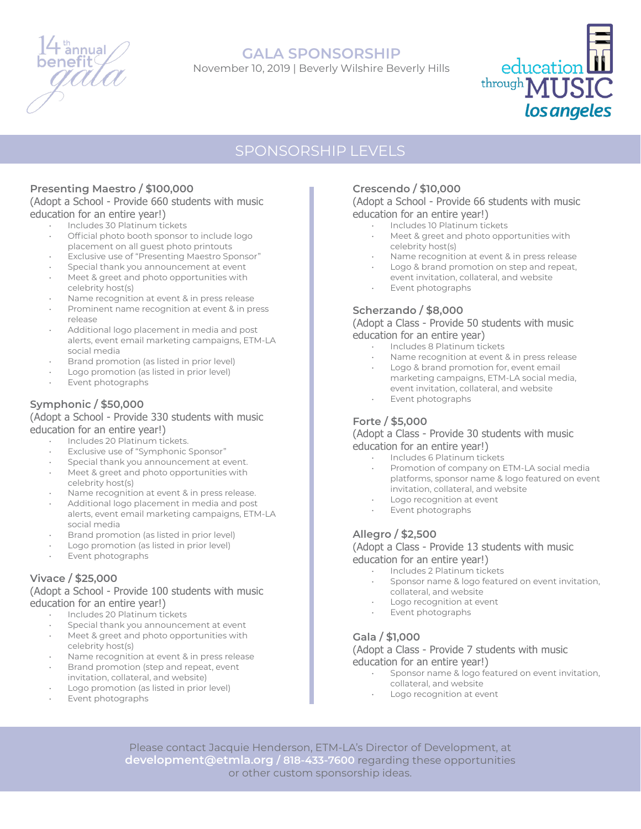

## **GALA SPONSORSHIP**

November 10, 2019 | Beverly Wilshire Beverly Hills



# SPONSORSHIP LEVELS

### **Presenting Maestro / \$100,000**

#### (Adopt a School - Provide 660 students with music education for an entire year!)

- Includes 30 Platinum tickets
- Official photo booth sponsor to include logo placement on all guest photo printouts
- Exclusive use of "Presenting Maestro Sponsor"
- Special thank you announcement at event
- Meet & greet and photo opportunities with celebrity host(s)
- Name recognition at event & in press release
- Prominent name recognition at event & in press release
- Additional logo placement in media and post alerts, event email marketing campaigns, ETM-LA social media
- Brand promotion (as listed in prior level)
- Logo promotion (as listed in prior level)
- Event photographs

### **Symphonic / \$50,000**

#### (Adopt a School - Provide 330 students with music education for an entire year!)

- Includes 20 Platinum tickets.
- Exclusive use of "Symphonic Sponsor"
- Special thank you announcement at event.
- Meet & greet and photo opportunities with celebrity host(s)
- Name recognition at event & in press release.
- Additional logo placement in media and post alerts, event email marketing campaigns, ETM-LA social media
- Brand promotion (as listed in prior level)
- Logo promotion (as listed in prior level)
- Event photographs

### **Vivace / \$25,000**

### (Adopt a School - Provide 100 students with music education for an entire year!)

- Includes 20 Platinum tickets
- Special thank you announcement at event
- Meet & greet and photo opportunities with celebrity host(s)
- Name recognition at event & in press release
- Brand promotion (step and repeat, event invitation, collateral, and website)
- Logo promotion (as listed in prior level)
- Event photographs

### **Crescendo / \$10,000**

#### (Adopt a School - Provide 66 students with music education for an entire year!)

- Includes 10 Platinum tickets
- Meet & greet and photo opportunities with celebrity host(s)
- Name recognition at event & in press release
- Logo & brand promotion on step and repeat,
- event invitation, collateral, and website Event photographs
- 

### **Scherzando / \$8,000**

#### (Adopt a Class - Provide 50 students with music education for an entire year)

- Includes 8 Platinum tickets
- Name recognition at event & in press release
- Logo & brand promotion for, event email marketing campaigns, ETM-LA social media, event invitation, collateral, and website
- Event photographs

### **Forte / \$5,000**

#### (Adopt a Class - Provide 30 students with music education for an entire year!)

- Includes 6 Platinum tickets
- Promotion of company on ETM-LA social media platforms, sponsor name & logo featured on event invitation, collateral, and website
- Logo recognition at event
- Event photographs

### **Allegro / \$2,500**

#### (Adopt a Class - Provide 13 students with music education for an entire year!)

- Includes 2 Platinum tickets
- Sponsor name & logo featured on event invitation, collateral, and website
- Logo recognition at event
- Event photographs

### **Gala / \$1,000**

(Adopt a Class - Provide 7 students with music education for an entire year!)

- Sponsor name & logo featured on event invitation, collateral, and website
- Logo recognition at event

Please contact Jacquie Henderson, ETM-LA's Director of Development, at **development@etmla.org / 818-433-7600** regarding these opportunities or other custom sponsorship ideas.